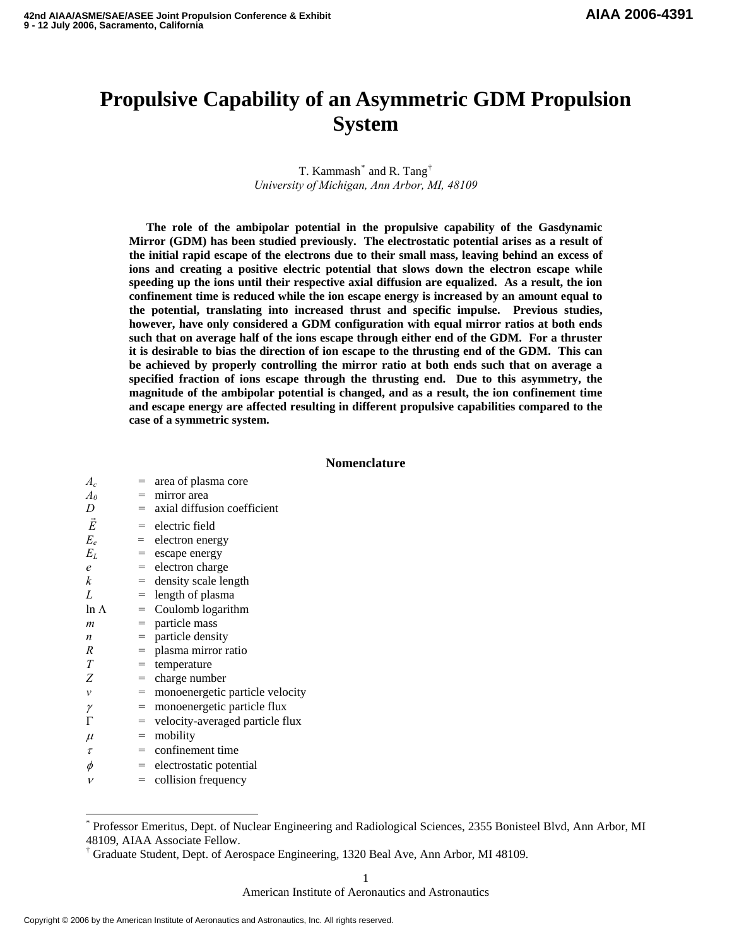# **Propulsive Capability of an Asymmetric GDM Propulsion System**

## T. Kammash $^*$  $^*$  and R. Tang $^{\dagger}$ *University of Michigan, Ann Arbor, MI, 48109*

**The role of the ambipolar potential in the propulsive capability of the Gasdynamic Mirror (GDM) has been studied previously. The electrostatic potential arises as a result of the initial rapid escape of the electrons due to their small mass, leaving behind an excess of ions and creating a positive electric potential that slows down the electron escape while speeding up the ions until their respective axial diffusion are equalized. As a result, the ion confinement time is reduced while the ion escape energy is increased by an amount equal to the potential, translating into increased thrust and specific impulse. Previous studies, however, have only considered a GDM configuration with equal mirror ratios at both ends such that on average half of the ions escape through either end of the GDM. For a thruster it is desirable to bias the direction of ion escape to the thrusting end of the GDM. This can be achieved by properly controlling the mirror ratio at both ends such that on average a specified fraction of ions escape through the thrusting end. Due to this asymmetry, the magnitude of the ambipolar potential is changed, and as a result, the ion confinement time and escape energy are affected resulting in different propulsive capabilities compared to the case of a symmetric system.** 

## **Nomenclature**

| $A_c$            |     | $=$ area of plasma core           |
|------------------|-----|-----------------------------------|
| $A_{0}$          |     | $=$ mirror area                   |
| D                |     | $=$ axial diffusion coefficient   |
| $\vec{E}$        |     | $=$ electric field                |
| $E_e$            |     | $=$ electron energy               |
| $E_L$            |     | $=$ escape energy                 |
| e                |     | $=$ electron charge               |
| k                |     | $=$ density scale length          |
| L                |     | $=$ length of plasma              |
| $ln \Lambda$     |     | $=$ Coulomb logarithm             |
| $\boldsymbol{m}$ |     | $=$ particle mass                 |
| n                |     | $=$ particle density              |
| R                | $=$ | plasma mirror ratio               |
| T                | $=$ | temperature                       |
| Ζ                |     | $=$ charge number                 |
| ν                |     | = monoenergetic particle velocity |
| γ                |     | $=$ monoenergetic particle flux   |
| Г                | $=$ | velocity-averaged particle flux   |
| $\mu$            | $=$ | mobility                          |
| $\tau$           |     | $=$ confinement time              |
| $\phi$           |     | $=$ electrostatic potential       |
| $\mathcal{V}$    |     | $=$ collision frequency           |

<span id="page-0-0"></span><sup>\*</sup> Professor Emeritus, Dept. of Nuclear Engineering and Radiological Sciences, 2355 Bonisteel Blvd, Ann Arbor, MI 48109, AIAA Associate Fellow.

American Institute of Aeronautics and Astronautics

 $\overline{a}$ 

<span id="page-0-1"></span><sup>†</sup> Graduate Student, Dept. of Aerospace Engineering, 1320 Beal Ave, Ann Arbor, MI 48109.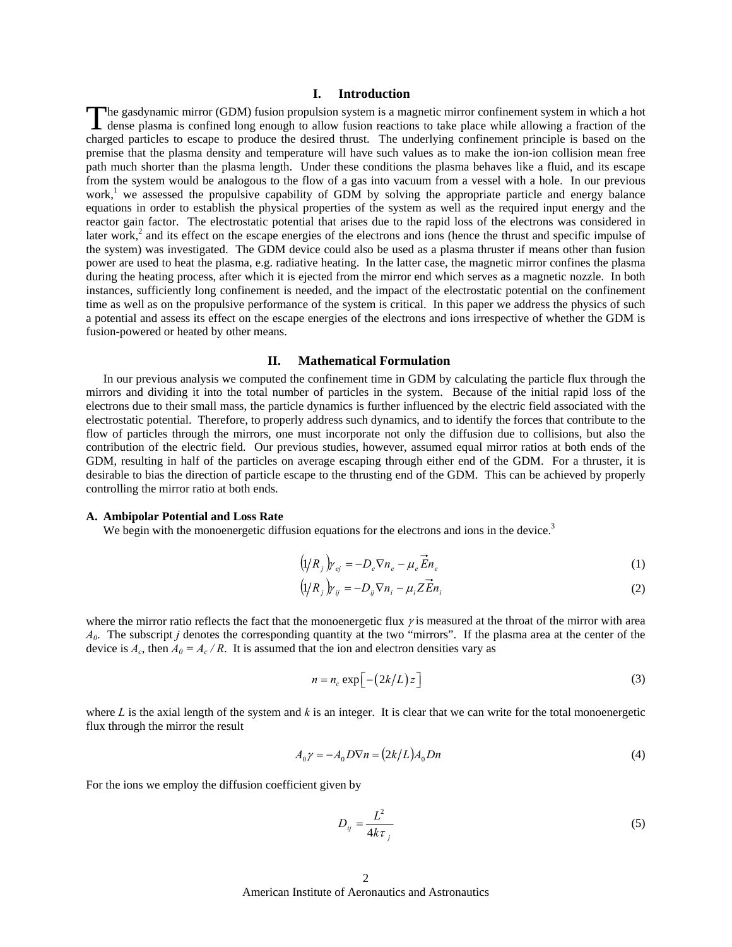## **I. Introduction**

The gasdynamic mirror (GDM) fusion propulsion system is a magnetic mirror confinement system in which a hot The gasdynamic mirror (GDM) fusion propulsion system is a magnetic mirror confinement system in which a hot dense plasma is confined long enough to allow fusion reactions to take place while allowing a fraction of the charged particles to escape to produce the desired thrust. The underlying confinement principle is based on the premise that the plasma density and temperature will have such values as to make the ion-ion collision mean free path much shorter than the plasma length. Under these conditions the plasma behaves like a fluid, and its escape from the system would be analogous to the flow of a gas into vacuum from a vessel with a hole. In our previous work,<sup>1</sup> we assessed the propulsive capability of GDM by solving the appropriate particle and energy balance equations in order to establish the physical properties of the system as well as the required input energy and the reactor gain factor. The electrostatic potential that arises due to the rapid loss of the electrons was considered in later work,<sup>2</sup> and its effect on the escape energies of the electrons and ions (hence the thrust and specific impulse of the system) was investigated. The GDM device could also be used as a plasma thruster if means other than fusion power are used to heat the plasma, e.g. radiative heating. In the latter case, the magnetic mirror confines the plasma during the heating process, after which it is ejected from the mirror end which serves as a magnetic nozzle. In both instances, sufficiently long confinement is needed, and the impact of the electrostatic potential on the confinement time as well as on the propulsive performance of the system is critical. In this paper we address the physics of such a potential and assess its effect on the escape energies of the electrons and ions irrespective of whether the GDM is fusion-powered or heated by other means.

## **II. Mathematical Formulation**

 In our previous analysis we computed the confinement time in GDM by calculating the particle flux through the mirrors and dividing it into the total number of particles in the system. Because of the initial rapid loss of the electrons due to their small mass, the particle dynamics is further influenced by the electric field associated with the electrostatic potential. Therefore, to properly address such dynamics, and to identify the forces that contribute to the flow of particles through the mirrors, one must incorporate not only the diffusion due to collisions, but also the contribution of the electric field. Our previous studies, however, assumed equal mirror ratios at both ends of the GDM, resulting in half of the particles on average escaping through either end of the GDM. For a thruster, it is desirable to bias the direction of particle escape to the thrusting end of the GDM. This can be achieved by properly controlling the mirror ratio at both ends.

#### **A. Ambipolar Potential and Loss Rate**

We begin with the monoenergetic diffusion equations for the electrons and ions in the device.<sup>3</sup>

$$
\left(\frac{1}{R_j}\right)_{\gamma_{ej}} = -D_e \nabla n_e - \mu_e \overrightarrow{E} n_e \tag{1}
$$

$$
\left(\frac{1}{R_j}\right)_{j} = -D_{ij}\nabla n_i - \mu_i Z \vec{E} n_i
$$
\n<sup>(2)</sup>

where the mirror ratio reflects the fact that the monoenergetic flux  $\gamma$  is measured at the throat of the mirror with area *A0*. The subscript *j* denotes the corresponding quantity at the two "mirrors". If the plasma area at the center of the device is  $A_c$ , then  $A_0 = A_c / R$ . It is assumed that the ion and electron densities vary as

$$
n = n_c \exp\left[-\left(\frac{2k}{L}\right)z\right]
$$
 (3)

where *L* is the axial length of the system and *k* is an integer. It is clear that we can write for the total monoenergetic flux through the mirror the result

$$
A_0 \gamma = -A_0 D \nabla n = (2k/L) A_0 D n \tag{4}
$$

For the ions we employ the diffusion coefficient given by

$$
D_{ij} = \frac{L^2}{4k\tau_j} \tag{5}
$$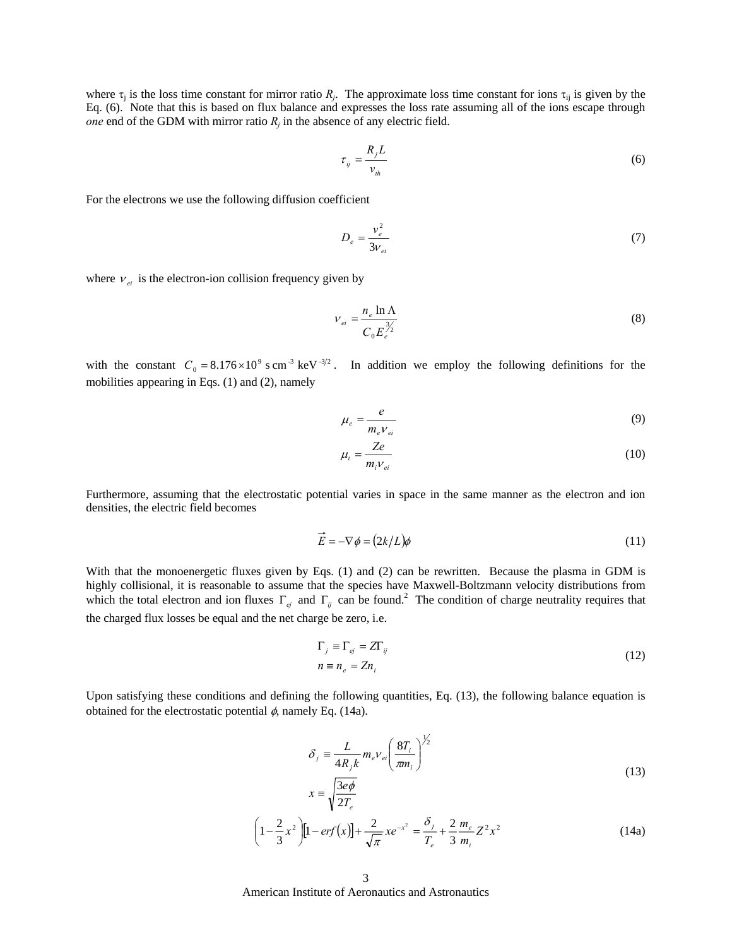where  $\tau_i$  is the loss time constant for mirror ratio  $R_i$ . The approximate loss time constant for ions  $\tau_{ij}$  is given by the Eq. (6). Note that this is based on flux balance and expresses the loss rate assuming all of the ions escape through *one* end of the GDM with mirror ratio  $R_i$  in the absence of any electric field.

$$
\tau_{ij} = \frac{R_j L}{v_{th}} \tag{6}
$$

For the electrons we use the following diffusion coefficient

$$
D_e = \frac{v_e^2}{3v_{ei}}\tag{7}
$$

where  $v_{ei}$  is the electron-ion collision frequency given by

$$
V_{ei} = \frac{n_e \ln \Lambda}{C_0 E_e^{\frac{3}{2}}}
$$
 (8)

with the constant  $C_0 = 8.176 \times 10^9$  s cm<sup>-3</sup> keV<sup>-3/2</sup>. In addition we employ the following definitions for the mobilities appearing in Eqs. (1) and (2), namely

$$
\mu_e = \frac{e}{m_e V_{ei}}\tag{9}
$$

$$
\mu_i = \frac{Ze}{m_i v_{ei}}\tag{10}
$$

Furthermore, assuming that the electrostatic potential varies in space in the same manner as the electron and ion densities, the electric field becomes

$$
\dot{E} = -\nabla \phi = (2k/L)\phi \tag{11}
$$

With that the monoenergetic fluxes given by Eqs. (1) and (2) can be rewritten. Because the plasma in GDM is highly collisional, it is reasonable to assume that the species have Maxwell-Boltzmann velocity distributions from which the total electron and ion fluxes  $\Gamma_{e^j}$  and  $\Gamma_{ij}$  can be found.<sup>2</sup> The condition of charge neutrality requires that the charged flux losses be equal and the net charge be zero, i.e.

$$
\Gamma_j \equiv \Gamma_{ej} = Z\Gamma_{ij}
$$
  
\n
$$
n \equiv n_e = Zn_i
$$
\n(12)

Upon satisfying these conditions and defining the following quantities, Eq. (13), the following balance equation is obtained for the electrostatic potential  $\phi$ , namely Eq. (14a).

$$
\delta_j \equiv \frac{L}{4R_j k} m_e v_{ei} \left(\frac{8T_i}{\pi m_i}\right)^{\frac{1}{2}}
$$
  

$$
x \equiv \sqrt{\frac{3e\phi}{2T_e}}
$$
 (13)

$$
\left(1 - \frac{2}{3}x^2\right)\left[1 - erf(x)\right] + \frac{2}{\sqrt{\pi}}xe^{-x^2} = \frac{\delta_j}{T_e} + \frac{2}{3}\frac{m_e}{m_i}Z^2x^2\tag{14a}
$$

American Institute of Aeronautics and Astronautics 3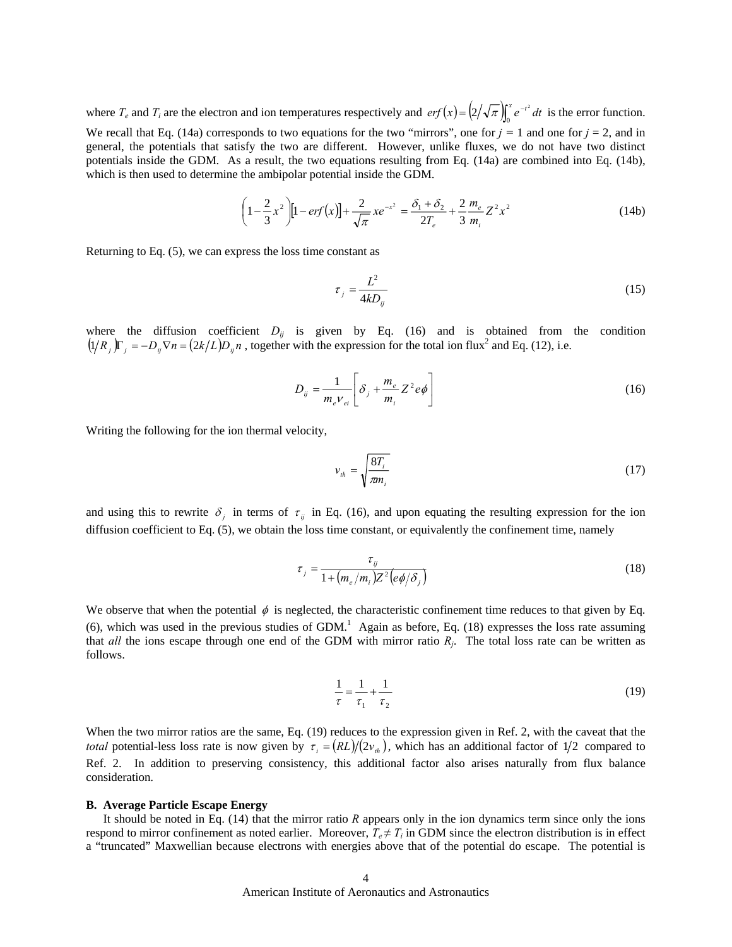where  $T_e$  and  $T_i$  are the electron and ion temperatures respectively and  $erf(x) = (2/\sqrt{\pi})\int_0^x e^{-t^2} dt$  is the error function. We recall that Eq. (14a) corresponds to two equations for the two "mirrors", one for  $j = 1$  and one for  $j = 2$ , and in general, the potentials that satisfy the two are different. However, unlike fluxes, we do not have two distinct

potentials inside the GDM. As a result, the two equations resulting from Eq. (14a) are combined into Eq. (14b), which is then used to determine the ambipolar potential inside the GDM.

$$
\left(1 - \frac{2}{3}x^2\right)\left[1 - erf(x)\right] + \frac{2}{\sqrt{\pi}}xe^{-x^2} = \frac{\delta_1 + \delta_2}{2T_e} + \frac{2}{3}\frac{m_e}{m_i}Z^2x^2\tag{14b}
$$

Returning to Eq. (5), we can express the loss time constant as

$$
\tau_j = \frac{L^2}{4kD_{ij}}\tag{15}
$$

where the diffusion coefficient  $D_{ij}$  is given by Eq. (16) and is obtained from the condition  $(1/R_j)\Gamma_j = -D_{ij}\nabla n = (2k/L)D_{ij}n$ , together with the expression for the total ion flux<sup>2</sup> and Eq. (12), i.e.

$$
D_{ij} = \frac{1}{m_e V_{ei}} \left[ \delta_j + \frac{m_e}{m_i} Z^2 e \phi \right]
$$
 (16)

Writing the following for the ion thermal velocity,

$$
v_{th} = \sqrt{\frac{8T_i}{\pi m_i}}\tag{17}
$$

and using this to rewrite  $\delta_i$  in terms of  $\tau_{ij}$  in Eq. (16), and upon equating the resulting expression for the ion diffusion coefficient to Eq. (5), we obtain the loss time constant, or equivalently the confinement time, namely

$$
\tau_j = \frac{\tau_{ij}}{1 + (m_e/m_i)Z^2 \left(e\phi/\delta_j\right)}\tag{18}
$$

We observe that when the potential  $\phi$  is neglected, the characteristic confinement time reduces to that given by Eq.  $(6)$ , which was used in the previous studies of GDM.<sup>1</sup> Again as before, Eq. (18) expresses the loss rate assuming that *all* the ions escape through one end of the GDM with mirror ratio *Rj*. The total loss rate can be written as follows.

$$
\frac{1}{\tau} = \frac{1}{\tau_1} + \frac{1}{\tau_2}
$$
 (19)

When the two mirror ratios are the same, Eq. (19) reduces to the expression given in Ref. 2, with the caveat that the *total* potential-less loss rate is now given by  $\tau_i = (RL)/(2v_{th})$ , which has an additional factor of 1/2 compared to Ref. 2. In addition to preserving consistency, this additional factor also arises naturally from flux balance consideration.

#### **B. Average Particle Escape Energy**

It should be noted in Eq. (14) that the mirror ratio *R* appears only in the ion dynamics term since only the ions respond to mirror confinement as noted earlier. Moreover,  $T_e \neq T_i$  in GDM since the electron distribution is in effect a "truncated" Maxwellian because electrons with energies above that of the potential do escape. The potential is